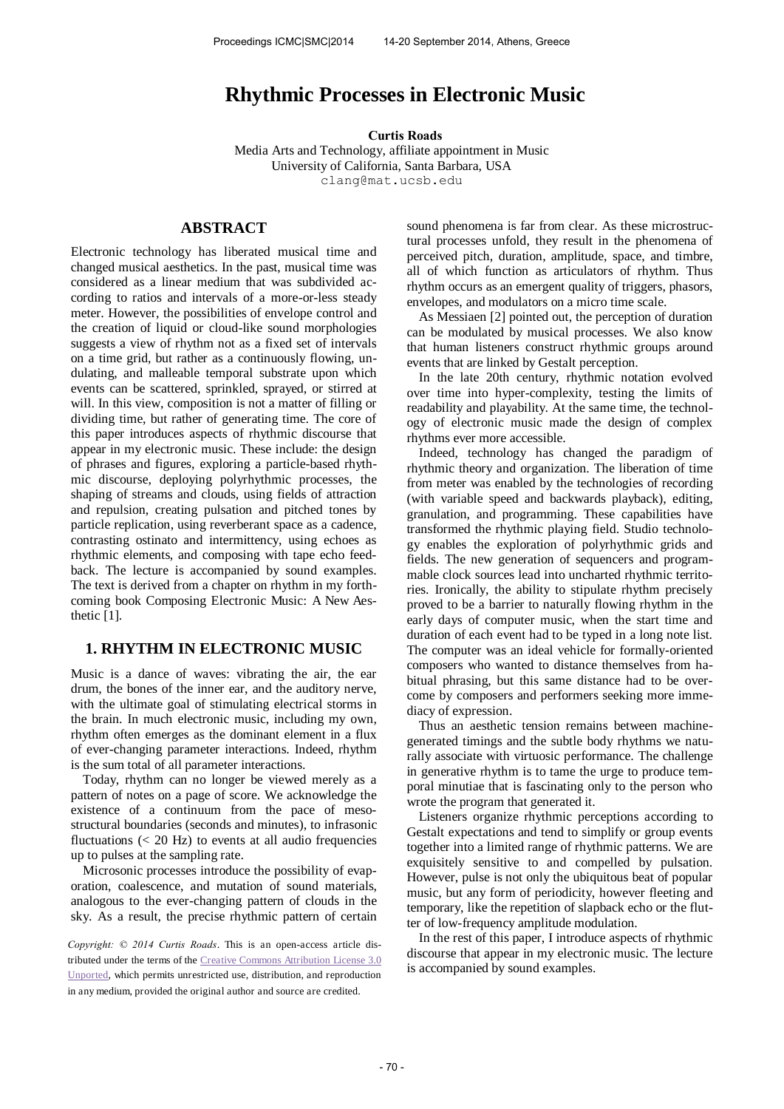# **Rhythmic Processes in Electronic Music**

**Curtis Roads** 

Media Arts and Technology, affiliate appointment in Music University of California, Santa Barbara, USA clang@mat.ucsb.edu

# **ABSTRACT**

Electronic technology has liberated musical time and changed musical aesthetics. In the past, musical time was considered as a linear medium that was subdivided according to ratios and intervals of a more-or-less steady meter. However, the possibilities of envelope control and the creation of liquid or cloud-like sound morphologies suggests a view of rhythm not as a fixed set of intervals on a time grid, but rather as a continuously flowing, undulating, and malleable temporal substrate upon which events can be scattered, sprinkled, sprayed, or stirred at will. In this view, composition is not a matter of filling or dividing time, but rather of generating time. The core of this paper introduces aspects of rhythmic discourse that appear in my electronic music. These include: the design of phrases and figures, exploring a particle-based rhythmic discourse, deploying polyrhythmic processes, the shaping of streams and clouds, using fields of attraction and repulsion, creating pulsation and pitched tones by particle replication, using reverberant space as a cadence, contrasting ostinato and intermittency, using echoes as rhythmic elements, and composing with tape echo feedback. The lecture is accompanied by sound examples. The text is derived from a chapter on rhythm in my forthcoming book Composing Electronic Music: A New Aesthetic [1].

## **1. RHYTHM IN ELECTRONIC MUSIC**

Music is a dance of waves: vibrating the air, the ear drum, the bones of the inner ear, and the auditory nerve, with the ultimate goal of stimulating electrical storms in the brain. In much electronic music, including my own, rhythm often emerges as the dominant element in a flux of ever-changing parameter interactions. Indeed, rhythm is the sum total of all parameter interactions.

Today, rhythm can no longer be viewed merely as a pattern of notes on a page of score. We acknowledge the existence of a continuum from the pace of mesostructural boundaries (seconds and minutes), to infrasonic fluctuations  $( $20$  Hz) to events at all audio frequencies$ up to pulses at the sampling rate.

Microsonic processes introduce the possibility of evaporation, coalescence, and mutation of sound materials, analogous to the ever-changing pattern of clouds in the sky. As a result, the precise rhythmic pattern of certain

*Copyright: © 2014 Curtis Roads*. This is an open-access article distributed under the terms of the [Creative Commons Attribution License 3.0](http://creativecommons.org/licenses/by/3.0/)  [Unported,](http://creativecommons.org/licenses/by/3.0/) which permits unrestricted use, distribution, and reproduction in any medium, provided the original author and source are credited.

sound phenomena is far from clear. As these microstructural processes unfold, they result in the phenomena of perceived pitch, duration, amplitude, space, and timbre, all of which function as articulators of rhythm. Thus rhythm occurs as an emergent quality of triggers, phasors, envelopes, and modulators on a micro time scale.

As Messiaen [2] pointed out, the perception of duration can be modulated by musical processes. We also know that human listeners construct rhythmic groups around events that are linked by Gestalt perception.

In the late 20th century, rhythmic notation evolved over time into hyper-complexity, testing the limits of readability and playability. At the same time, the technology of electronic music made the design of complex rhythms ever more accessible.

Indeed, technology has changed the paradigm of rhythmic theory and organization. The liberation of time from meter was enabled by the technologies of recording (with variable speed and backwards playback), editing, granulation, and programming. These capabilities have transformed the rhythmic playing field. Studio technology enables the exploration of polyrhythmic grids and fields. The new generation of sequencers and programmable clock sources lead into uncharted rhythmic territories. Ironically, the ability to stipulate rhythm precisely proved to be a barrier to naturally flowing rhythm in the early days of computer music, when the start time and duration of each event had to be typed in a long note list. The computer was an ideal vehicle for formally-oriented composers who wanted to distance themselves from habitual phrasing, but this same distance had to be overcome by composers and performers seeking more immediacy of expression.

Thus an aesthetic tension remains between machinegenerated timings and the subtle body rhythms we naturally associate with virtuosic performance. The challenge in generative rhythm is to tame the urge to produce temporal minutiae that is fascinating only to the person who wrote the program that generated it.

Listeners organize rhythmic perceptions according to Gestalt expectations and tend to simplify or group events together into a limited range of rhythmic patterns. We are exquisitely sensitive to and compelled by pulsation. However, pulse is not only the ubiquitous beat of popular music, but any form of periodicity, however fleeting and temporary, like the repetition of slapback echo or the flutter of low-frequency amplitude modulation.

In the rest of this paper, I introduce aspects of rhythmic discourse that appear in my electronic music. The lecture is accompanied by sound examples.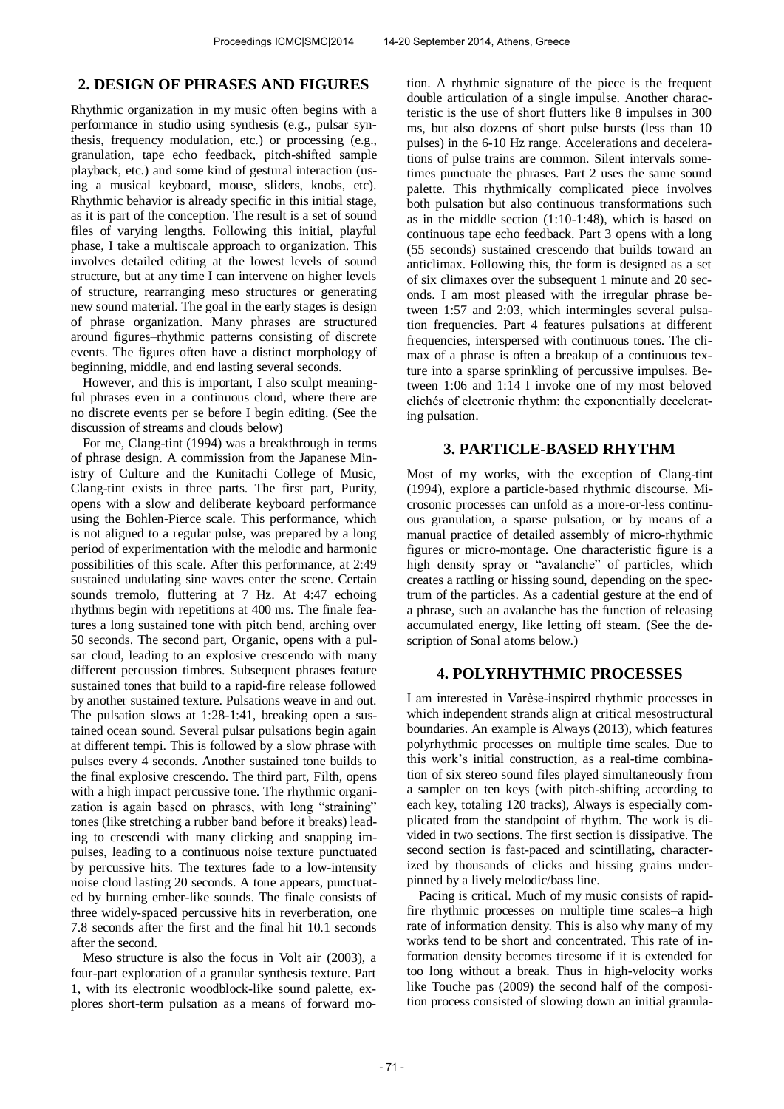### **2. DESIGN OF PHRASES AND FIGURES**

Rhythmic organization in my music often begins with a performance in studio using synthesis (e.g., pulsar synthesis, frequency modulation, etc.) or processing (e.g., granulation, tape echo feedback, pitch-shifted sample playback, etc.) and some kind of gestural interaction (using a musical keyboard, mouse, sliders, knobs, etc). Rhythmic behavior is already specific in this initial stage, as it is part of the conception. The result is a set of sound files of varying lengths. Following this initial, playful phase, I take a multiscale approach to organization. This involves detailed editing at the lowest levels of sound structure, but at any time I can intervene on higher levels of structure, rearranging meso structures or generating new sound material. The goal in the early stages is design of phrase organization. Many phrases are structured around figures–rhythmic patterns consisting of discrete events. The figures often have a distinct morphology of beginning, middle, and end lasting several seconds.

However, and this is important, I also sculpt meaningful phrases even in a continuous cloud, where there are no discrete events per se before I begin editing. (See the discussion of streams and clouds below)

For me, Clang-tint (1994) was a breakthrough in terms of phrase design. A commission from the Japanese Ministry of Culture and the Kunitachi College of Music, Clang-tint exists in three parts. The first part, Purity, opens with a slow and deliberate keyboard performance using the Bohlen-Pierce scale. This performance, which is not aligned to a regular pulse, was prepared by a long period of experimentation with the melodic and harmonic possibilities of this scale. After this performance, at 2:49 sustained undulating sine waves enter the scene. Certain sounds tremolo, fluttering at 7 Hz. At 4:47 echoing rhythms begin with repetitions at 400 ms. The finale features a long sustained tone with pitch bend, arching over 50 seconds. The second part, Organic, opens with a pulsar cloud, leading to an explosive crescendo with many different percussion timbres. Subsequent phrases feature sustained tones that build to a rapid-fire release followed by another sustained texture. Pulsations weave in and out. The pulsation slows at 1:28-1:41, breaking open a sustained ocean sound. Several pulsar pulsations begin again at different tempi. This is followed by a slow phrase with pulses every 4 seconds. Another sustained tone builds to the final explosive crescendo. The third part, Filth, opens with a high impact percussive tone. The rhythmic organization is again based on phrases, with long "straining" tones (like stretching a rubber band before it breaks) leading to crescendi with many clicking and snapping impulses, leading to a continuous noise texture punctuated by percussive hits. The textures fade to a low-intensity noise cloud lasting 20 seconds. A tone appears, punctuated by burning ember-like sounds. The finale consists of three widely-spaced percussive hits in reverberation, one 7.8 seconds after the first and the final hit 10.1 seconds after the second.

Meso structure is also the focus in Volt air (2003), a four-part exploration of a granular synthesis texture. Part 1, with its electronic woodblock-like sound palette, explores short-term pulsation as a means of forward motion. A rhythmic signature of the piece is the frequent double articulation of a single impulse. Another characteristic is the use of short flutters like 8 impulses in 300 ms, but also dozens of short pulse bursts (less than 10 pulses) in the 6-10 Hz range. Accelerations and decelerations of pulse trains are common. Silent intervals sometimes punctuate the phrases. Part 2 uses the same sound palette. This rhythmically complicated piece involves both pulsation but also continuous transformations such as in the middle section (1:10-1:48), which is based on continuous tape echo feedback. Part 3 opens with a long (55 seconds) sustained crescendo that builds toward an anticlimax. Following this, the form is designed as a set of six climaxes over the subsequent 1 minute and 20 seconds. I am most pleased with the irregular phrase between 1:57 and 2:03, which intermingles several pulsation frequencies. Part 4 features pulsations at different frequencies, interspersed with continuous tones. The climax of a phrase is often a breakup of a continuous texture into a sparse sprinkling of percussive impulses. Between 1:06 and 1:14 I invoke one of my most beloved clichés of electronic rhythm: the exponentially decelerating pulsation.

### **3. PARTICLE-BASED RHYTHM**

Most of my works, with the exception of Clang-tint (1994), explore a particle-based rhythmic discourse. Microsonic processes can unfold as a more-or-less continuous granulation, a sparse pulsation, or by means of a manual practice of detailed assembly of micro-rhythmic figures or micro-montage. One characteristic figure is a high density spray or "avalanche" of particles, which creates a rattling or hissing sound, depending on the spectrum of the particles. As a cadential gesture at the end of a phrase, such an avalanche has the function of releasing accumulated energy, like letting off steam. (See the description of Sonal atoms below.)

### **4. POLYRHYTHMIC PROCESSES**

I am interested in Varèse-inspired rhythmic processes in which independent strands align at critical mesostructural boundaries. An example is Always (2013), which features polyrhythmic processes on multiple time scales. Due to this work's initial construction, as a real-time combination of six stereo sound files played simultaneously from a sampler on ten keys (with pitch-shifting according to each key, totaling 120 tracks), Always is especially complicated from the standpoint of rhythm. The work is divided in two sections. The first section is dissipative. The second section is fast-paced and scintillating, characterized by thousands of clicks and hissing grains underpinned by a lively melodic/bass line.

Pacing is critical. Much of my music consists of rapidfire rhythmic processes on multiple time scales–a high rate of information density. This is also why many of my works tend to be short and concentrated. This rate of information density becomes tiresome if it is extended for too long without a break. Thus in high-velocity works like Touche pas (2009) the second half of the composition process consisted of slowing down an initial granula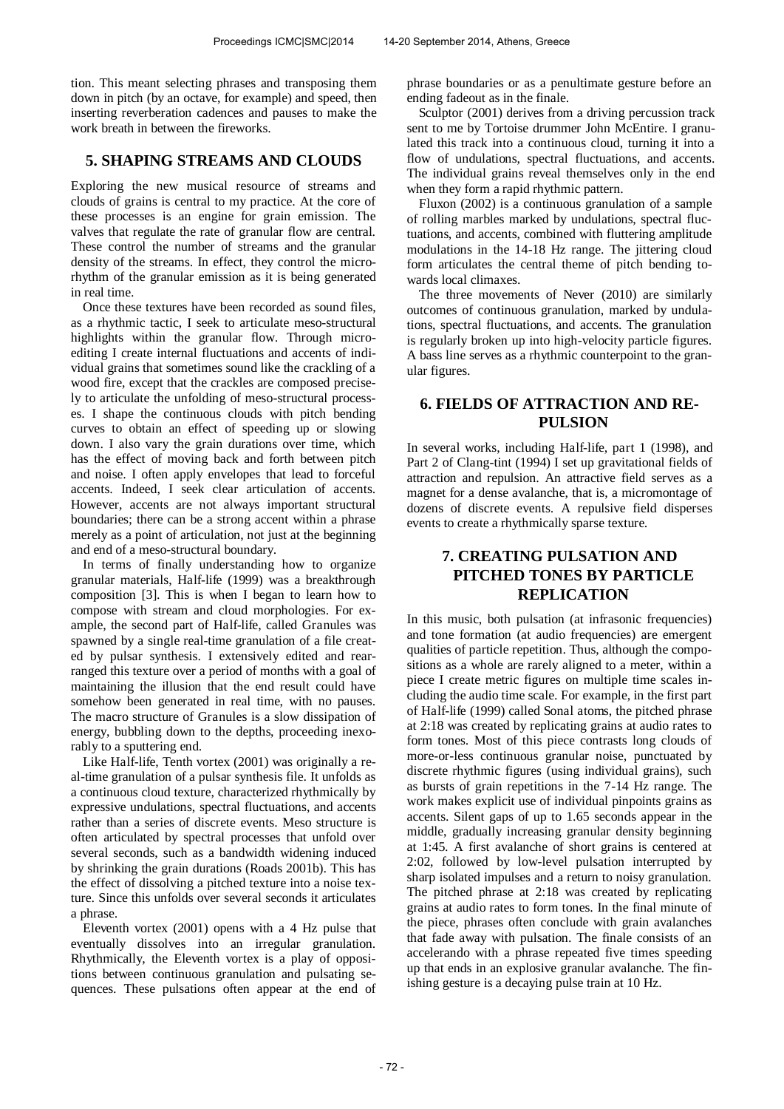tion. This meant selecting phrases and transposing them down in pitch (by an octave, for example) and speed, then inserting reverberation cadences and pauses to make the work breath in between the fireworks.

# **5. SHAPING STREAMS AND CLOUDS**

Exploring the new musical resource of streams and clouds of grains is central to my practice. At the core of these processes is an engine for grain emission. The valves that regulate the rate of granular flow are central. These control the number of streams and the granular density of the streams. In effect, they control the microrhythm of the granular emission as it is being generated in real time.

Once these textures have been recorded as sound files, as a rhythmic tactic, I seek to articulate meso-structural highlights within the granular flow. Through microediting I create internal fluctuations and accents of individual grains that sometimes sound like the crackling of a wood fire, except that the crackles are composed precisely to articulate the unfolding of meso-structural processes. I shape the continuous clouds with pitch bending curves to obtain an effect of speeding up or slowing down. I also vary the grain durations over time, which has the effect of moving back and forth between pitch and noise. I often apply envelopes that lead to forceful accents. Indeed, I seek clear articulation of accents. However, accents are not always important structural boundaries; there can be a strong accent within a phrase merely as a point of articulation, not just at the beginning and end of a meso-structural boundary.

In terms of finally understanding how to organize granular materials, Half-life (1999) was a breakthrough composition [3]. This is when I began to learn how to compose with stream and cloud morphologies. For example, the second part of Half-life, called Granules was spawned by a single real-time granulation of a file created by pulsar synthesis. I extensively edited and rearranged this texture over a period of months with a goal of maintaining the illusion that the end result could have somehow been generated in real time, with no pauses. The macro structure of Granules is a slow dissipation of energy, bubbling down to the depths, proceeding inexorably to a sputtering end.

Like Half-life, Tenth vortex (2001) was originally a real-time granulation of a pulsar synthesis file. It unfolds as a continuous cloud texture, characterized rhythmically by expressive undulations, spectral fluctuations, and accents rather than a series of discrete events. Meso structure is often articulated by spectral processes that unfold over several seconds, such as a bandwidth widening induced by shrinking the grain durations (Roads 2001b). This has the effect of dissolving a pitched texture into a noise texture. Since this unfolds over several seconds it articulates a phrase.

Eleventh vortex (2001) opens with a 4 Hz pulse that eventually dissolves into an irregular granulation. Rhythmically, the Eleventh vortex is a play of oppositions between continuous granulation and pulsating sequences. These pulsations often appear at the end of phrase boundaries or as a penultimate gesture before an ending fadeout as in the finale.

Sculptor (2001) derives from a driving percussion track sent to me by Tortoise drummer John McEntire. I granulated this track into a continuous cloud, turning it into a flow of undulations, spectral fluctuations, and accents. The individual grains reveal themselves only in the end when they form a rapid rhythmic pattern.

Fluxon (2002) is a continuous granulation of a sample of rolling marbles marked by undulations, spectral fluctuations, and accents, combined with fluttering amplitude modulations in the 14-18 Hz range. The jittering cloud form articulates the central theme of pitch bending towards local climaxes.

The three movements of Never (2010) are similarly outcomes of continuous granulation, marked by undulations, spectral fluctuations, and accents. The granulation is regularly broken up into high-velocity particle figures. A bass line serves as a rhythmic counterpoint to the granular figures.

# **6. FIELDS OF ATTRACTION AND RE-PULSION**

In several works, including Half-life, part 1 (1998), and Part 2 of Clang-tint (1994) I set up gravitational fields of attraction and repulsion. An attractive field serves as a magnet for a dense avalanche, that is, a micromontage of dozens of discrete events. A repulsive field disperses events to create a rhythmically sparse texture.

# **7. CREATING PULSATION AND PITCHED TONES BY PARTICLE REPLICATION**

In this music, both pulsation (at infrasonic frequencies) and tone formation (at audio frequencies) are emergent qualities of particle repetition. Thus, although the compositions as a whole are rarely aligned to a meter, within a piece I create metric figures on multiple time scales including the audio time scale. For example, in the first part of Half-life (1999) called Sonal atoms, the pitched phrase at 2:18 was created by replicating grains at audio rates to form tones. Most of this piece contrasts long clouds of more-or-less continuous granular noise, punctuated by discrete rhythmic figures (using individual grains), such as bursts of grain repetitions in the 7-14 Hz range. The work makes explicit use of individual pinpoints grains as accents. Silent gaps of up to 1.65 seconds appear in the middle, gradually increasing granular density beginning at 1:45. A first avalanche of short grains is centered at 2:02, followed by low-level pulsation interrupted by sharp isolated impulses and a return to noisy granulation. The pitched phrase at 2:18 was created by replicating grains at audio rates to form tones. In the final minute of the piece, phrases often conclude with grain avalanches that fade away with pulsation. The finale consists of an accelerando with a phrase repeated five times speeding up that ends in an explosive granular avalanche. The finishing gesture is a decaying pulse train at 10 Hz.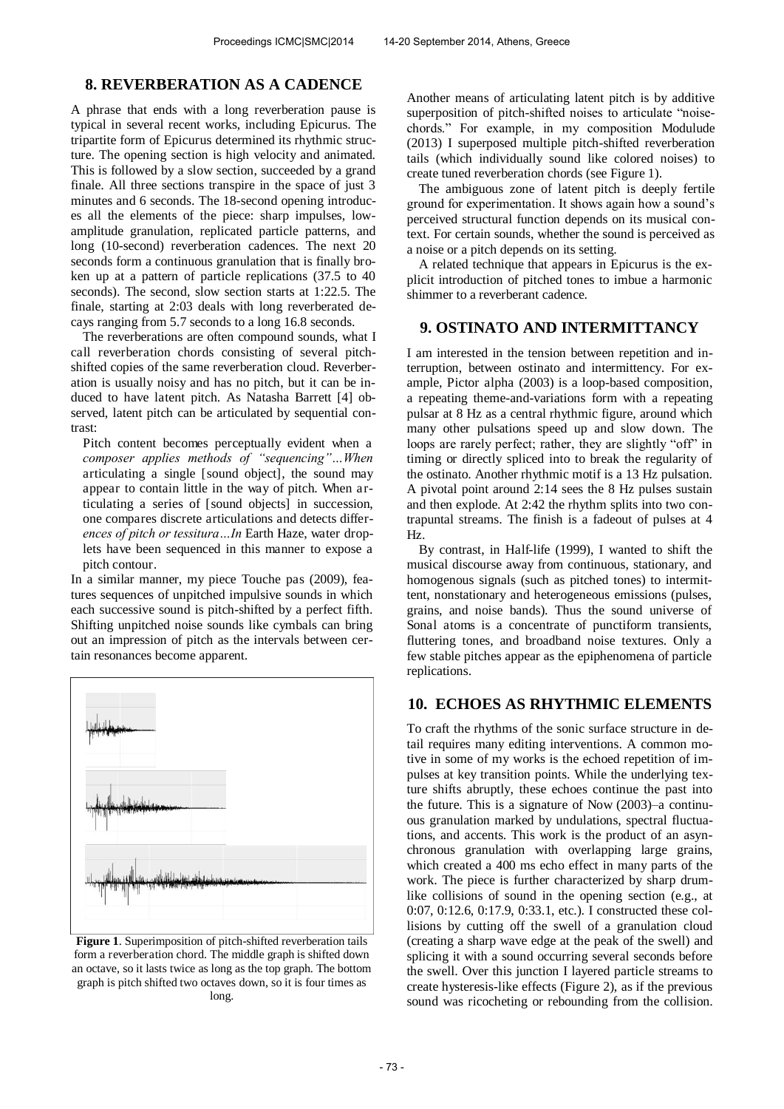#### **8. REVERBERATION AS A CADENCE**

A phrase that ends with a long reverberation pause is typical in several recent works, including Epicurus. The tripartite form of Epicurus determined its rhythmic structure. The opening section is high velocity and animated. This is followed by a slow section, succeeded by a grand finale. All three sections transpire in the space of just 3 minutes and 6 seconds. The 18-second opening introduces all the elements of the piece: sharp impulses, lowamplitude granulation, replicated particle patterns, and long (10-second) reverberation cadences. The next 20 seconds form a continuous granulation that is finally broken up at a pattern of particle replications (37.5 to 40 seconds). The second, slow section starts at 1:22.5. The finale, starting at 2:03 deals with long reverberated decays ranging from 5.7 seconds to a long 16.8 seconds.

The reverberations are often compound sounds, what I call reverberation chords consisting of several pitchshifted copies of the same reverberation cloud. Reverberation is usually noisy and has no pitch, but it can be induced to have latent pitch. As Natasha Barrett [4] observed, latent pitch can be articulated by sequential contrast:

Pitch content becomes perceptually evident when a *composer applies methods of "sequencing"…When*  articulating a single [sound object], the sound may appear to contain little in the way of pitch. When articulating a series of [sound objects] in succession, one compares discrete articulations and detects differ*ences of pitch or tessitura…In* Earth Haze, water droplets have been sequenced in this manner to expose a pitch contour.

In a similar manner, my piece Touche pas (2009), features sequences of unpitched impulsive sounds in which each successive sound is pitch-shifted by a perfect fifth. Shifting unpitched noise sounds like cymbals can bring out an impression of pitch as the intervals between certain resonances become apparent.



**Figure 1**. Superimposition of pitch-shifted reverberation tails form a reverberation chord. The middle graph is shifted down an octave, so it lasts twice as long as the top graph. The bottom graph is pitch shifted two octaves down, so it is four times as long.

Another means of articulating latent pitch is by additive superposition of pitch-shifted noises to articulate "noisechords." For example, in my composition Modulude (2013) I superposed multiple pitch-shifted reverberation tails (which individually sound like colored noises) to create tuned reverberation chords (see Figure 1).

The ambiguous zone of latent pitch is deeply fertile ground for experimentation. It shows again how a sound's perceived structural function depends on its musical context. For certain sounds, whether the sound is perceived as a noise or a pitch depends on its setting.

A related technique that appears in Epicurus is the explicit introduction of pitched tones to imbue a harmonic shimmer to a reverberant cadence.

## **9. OSTINATO AND INTERMITTANCY**

I am interested in the tension between repetition and interruption, between ostinato and intermittency. For example, Pictor alpha (2003) is a loop-based composition, a repeating theme-and-variations form with a repeating pulsar at 8 Hz as a central rhythmic figure, around which many other pulsations speed up and slow down. The loops are rarely perfect; rather, they are slightly "off" in timing or directly spliced into to break the regularity of the ostinato. Another rhythmic motif is a 13 Hz pulsation. A pivotal point around 2:14 sees the 8 Hz pulses sustain and then explode. At 2:42 the rhythm splits into two contrapuntal streams. The finish is a fadeout of pulses at 4 Hz.

By contrast, in Half-life (1999), I wanted to shift the musical discourse away from continuous, stationary, and homogenous signals (such as pitched tones) to intermittent, nonstationary and heterogeneous emissions (pulses, grains, and noise bands). Thus the sound universe of Sonal atoms is a concentrate of punctiform transients, fluttering tones, and broadband noise textures. Only a few stable pitches appear as the epiphenomena of particle replications.

## **10. ECHOES AS RHYTHMIC ELEMENTS**

To craft the rhythms of the sonic surface structure in detail requires many editing interventions. A common motive in some of my works is the echoed repetition of impulses at key transition points. While the underlying texture shifts abruptly, these echoes continue the past into the future. This is a signature of Now (2003)–a continuous granulation marked by undulations, spectral fluctuations, and accents. This work is the product of an asynchronous granulation with overlapping large grains, which created a 400 ms echo effect in many parts of the work. The piece is further characterized by sharp drumlike collisions of sound in the opening section (e.g., at 0:07, 0:12.6, 0:17.9, 0:33.1, etc.). I constructed these collisions by cutting off the swell of a granulation cloud (creating a sharp wave edge at the peak of the swell) and splicing it with a sound occurring several seconds before the swell. Over this junction I layered particle streams to create hysteresis-like effects (Figure 2), as if the previous sound was ricocheting or rebounding from the collision.